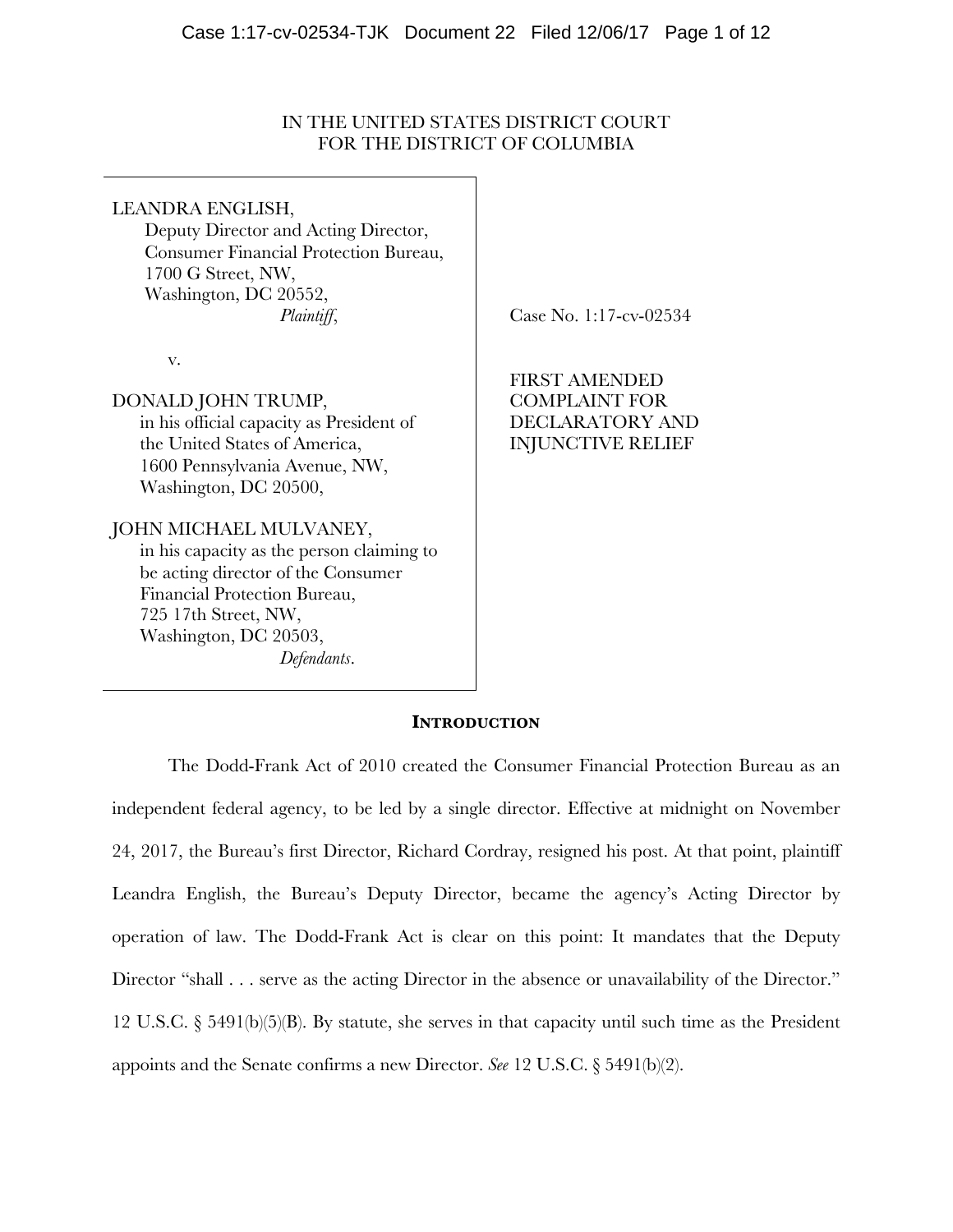# IN THE UNITED STATES DISTRICT COURT FOR THE DISTRICT OF COLUMBIA

## LEANDRA ENGLISH,

 Deputy Director and Acting Director, Consumer Financial Protection Bureau, 1700 G Street, NW, Washington, DC 20552, *Plaintiff*,

v.

# DONALD JOHN TRUMP,

in his official capacity as President of the United States of America, 1600 Pennsylvania Avenue, NW, Washington, DC 20500,

# JOHN MICHAEL MULVANEY,

in his capacity as the person claiming to be acting director of the Consumer Financial Protection Bureau, 725 17th Street, NW, Washington, DC 20503, *Defendants*.

Case No. 1:17-cv-02534

FIRST AMENDED COMPLAINT FOR DECLARATORY AND INJUNCTIVE RELIEF

# **INTRODUCTION**

The Dodd-Frank Act of 2010 created the Consumer Financial Protection Bureau as an independent federal agency, to be led by a single director. Effective at midnight on November 24, 2017, the Bureau's first Director, Richard Cordray, resigned his post. At that point, plaintiff Leandra English, the Bureau's Deputy Director, became the agency's Acting Director by operation of law. The Dodd-Frank Act is clear on this point: It mandates that the Deputy Director "shall . . . serve as the acting Director in the absence or unavailability of the Director." 12 U.S.C. § 5491(b)(5)(B). By statute, she serves in that capacity until such time as the President appoints and the Senate confirms a new Director. *See* 12 U.S.C. § 5491(b)(2).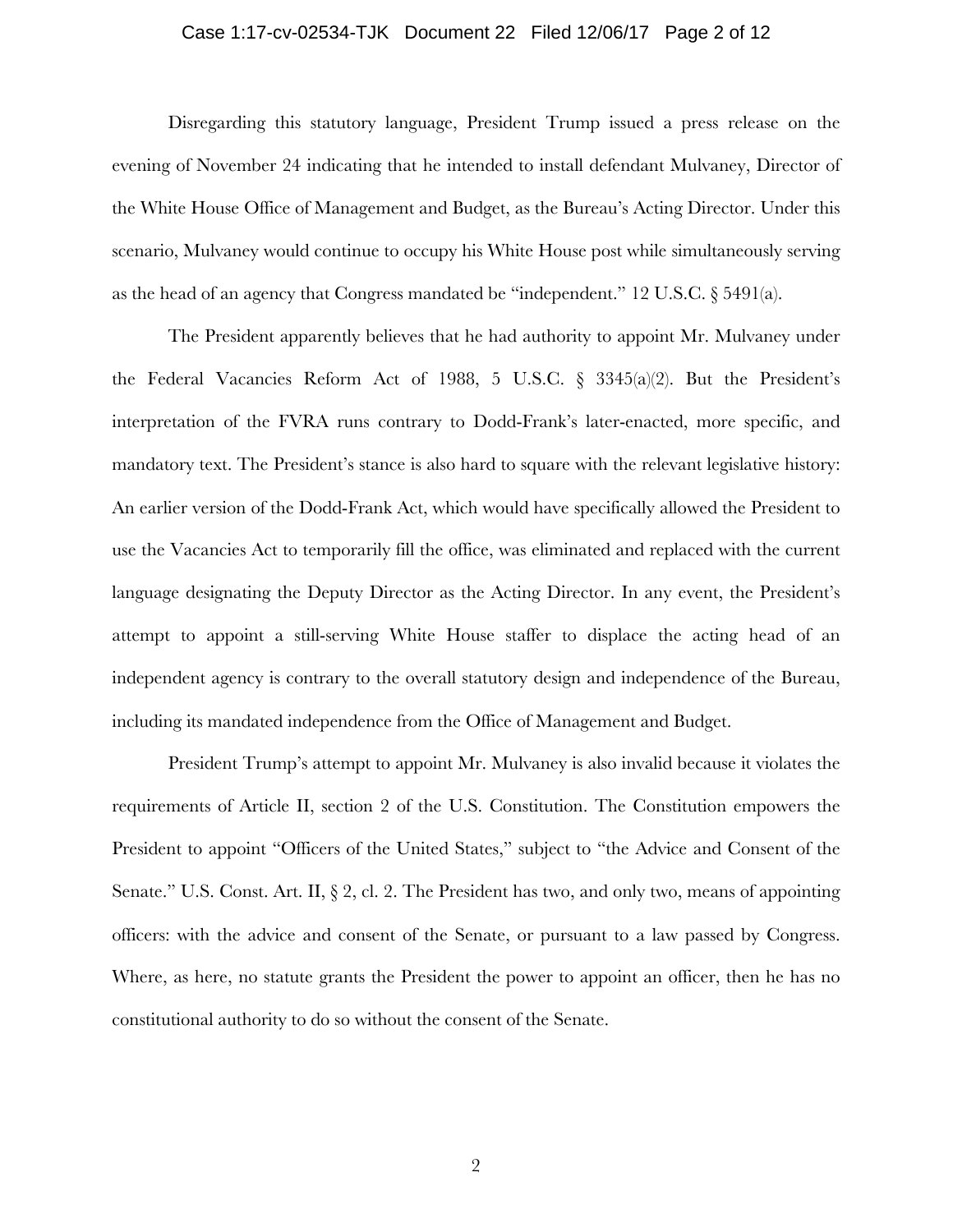### Case 1:17-cv-02534-TJK Document 22 Filed 12/06/17 Page 2 of 12

Disregarding this statutory language, President Trump issued a press release on the evening of November 24 indicating that he intended to install defendant Mulvaney, Director of the White House Office of Management and Budget, as the Bureau's Acting Director. Under this scenario, Mulvaney would continue to occupy his White House post while simultaneously serving as the head of an agency that Congress mandated be "independent." 12 U.S.C. § 5491(a).

The President apparently believes that he had authority to appoint Mr. Mulvaney under the Federal Vacancies Reform Act of 1988, 5 U.S.C. § 3345(a)(2). But the President's interpretation of the FVRA runs contrary to Dodd-Frank's later-enacted, more specific, and mandatory text. The President's stance is also hard to square with the relevant legislative history: An earlier version of the Dodd-Frank Act, which would have specifically allowed the President to use the Vacancies Act to temporarily fill the office, was eliminated and replaced with the current language designating the Deputy Director as the Acting Director. In any event, the President's attempt to appoint a still-serving White House staffer to displace the acting head of an independent agency is contrary to the overall statutory design and independence of the Bureau, including its mandated independence from the Office of Management and Budget.

President Trump's attempt to appoint Mr. Mulvaney is also invalid because it violates the requirements of Article II, section 2 of the U.S. Constitution. The Constitution empowers the President to appoint "Officers of the United States," subject to "the Advice and Consent of the Senate." U.S. Const. Art. II,  $\S 2$ , cl. 2. The President has two, and only two, means of appointing officers: with the advice and consent of the Senate, or pursuant to a law passed by Congress. Where, as here, no statute grants the President the power to appoint an officer, then he has no constitutional authority to do so without the consent of the Senate.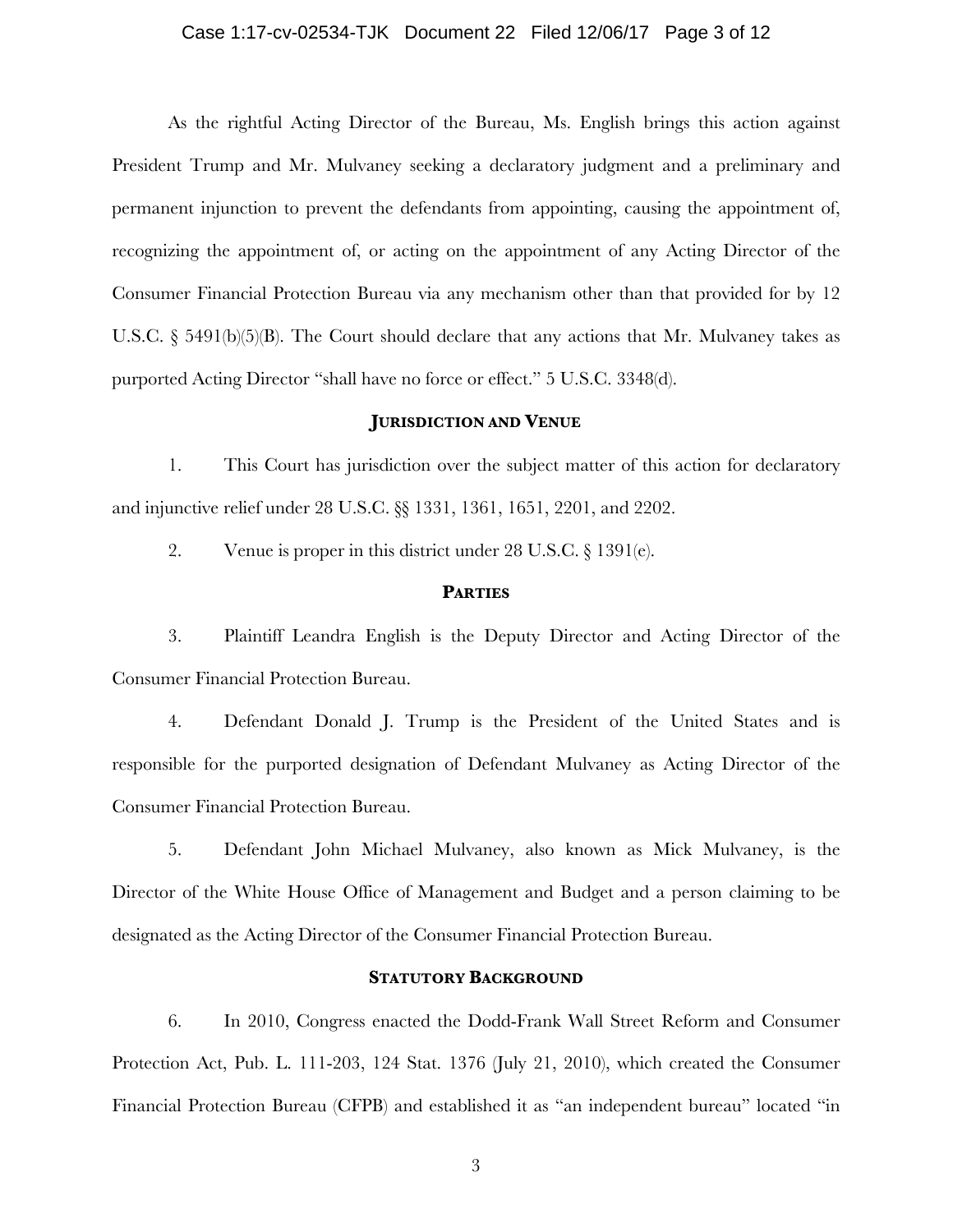### Case 1:17-cv-02534-TJK Document 22 Filed 12/06/17 Page 3 of 12

As the rightful Acting Director of the Bureau, Ms. English brings this action against President Trump and Mr. Mulvaney seeking a declaratory judgment and a preliminary and permanent injunction to prevent the defendants from appointing, causing the appointment of, recognizing the appointment of, or acting on the appointment of any Acting Director of the Consumer Financial Protection Bureau via any mechanism other than that provided for by 12 U.S.C.  $\S$  5491(b)(5)(B). The Court should declare that any actions that Mr. Mulvaney takes as purported Acting Director "shall have no force or effect." 5 U.S.C. 3348(d).

## **JURISDICTION AND VENUE**

1. This Court has jurisdiction over the subject matter of this action for declaratory and injunctive relief under 28 U.S.C. §§ 1331, 1361, 1651, 2201, and 2202.

2. Venue is proper in this district under 28 U.S.C. § 1391(e).

#### **PARTIES**

3. Plaintiff Leandra English is the Deputy Director and Acting Director of the Consumer Financial Protection Bureau.

4. Defendant Donald J. Trump is the President of the United States and is responsible for the purported designation of Defendant Mulvaney as Acting Director of the Consumer Financial Protection Bureau.

5. Defendant John Michael Mulvaney, also known as Mick Mulvaney, is the Director of the White House Office of Management and Budget and a person claiming to be designated as the Acting Director of the Consumer Financial Protection Bureau.

### **STATUTORY BACKGROUND**

6. In 2010, Congress enacted the Dodd-Frank Wall Street Reform and Consumer Protection Act, Pub. L. 111-203, 124 Stat. 1376 (July 21, 2010), which created the Consumer Financial Protection Bureau (CFPB) and established it as "an independent bureau" located "in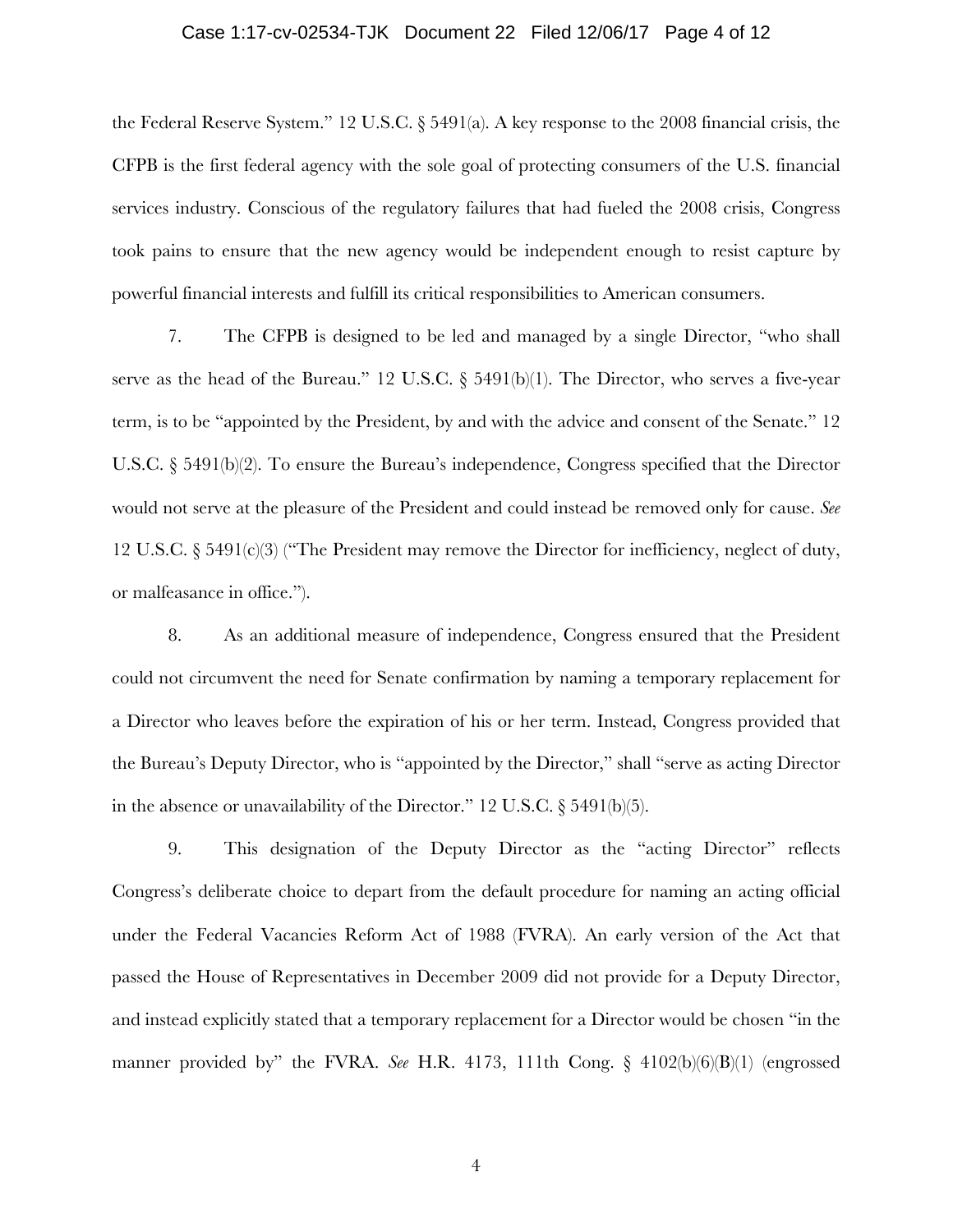### Case 1:17-cv-02534-TJK Document 22 Filed 12/06/17 Page 4 of 12

the Federal Reserve System." 12 U.S.C. § 5491(a). A key response to the 2008 financial crisis, the CFPB is the first federal agency with the sole goal of protecting consumers of the U.S. financial services industry. Conscious of the regulatory failures that had fueled the 2008 crisis, Congress took pains to ensure that the new agency would be independent enough to resist capture by powerful financial interests and fulfill its critical responsibilities to American consumers.

7. The CFPB is designed to be led and managed by a single Director, "who shall serve as the head of the Bureau." 12 U.S.C.  $\S$  5491(b)(1). The Director, who serves a five-year term, is to be "appointed by the President, by and with the advice and consent of the Senate." 12 U.S.C. § 5491(b)(2). To ensure the Bureau's independence, Congress specified that the Director would not serve at the pleasure of the President and could instead be removed only for cause. *See*  12 U.S.C.  $\S 5491(c)(3)$  ("The President may remove the Director for inefficiency, neglect of duty, or malfeasance in office.").

8. As an additional measure of independence, Congress ensured that the President could not circumvent the need for Senate confirmation by naming a temporary replacement for a Director who leaves before the expiration of his or her term. Instead, Congress provided that the Bureau's Deputy Director, who is "appointed by the Director," shall "serve as acting Director in the absence or unavailability of the Director." 12 U.S.C. § 5491(b)(5).

9. This designation of the Deputy Director as the "acting Director" reflects Congress's deliberate choice to depart from the default procedure for naming an acting official under the Federal Vacancies Reform Act of 1988 (FVRA). An early version of the Act that passed the House of Representatives in December 2009 did not provide for a Deputy Director, and instead explicitly stated that a temporary replacement for a Director would be chosen "in the manner provided by" the FVRA. *See* H.R. 4173, 111th Cong. § 4102(b)(6)(B)(1) (engrossed

4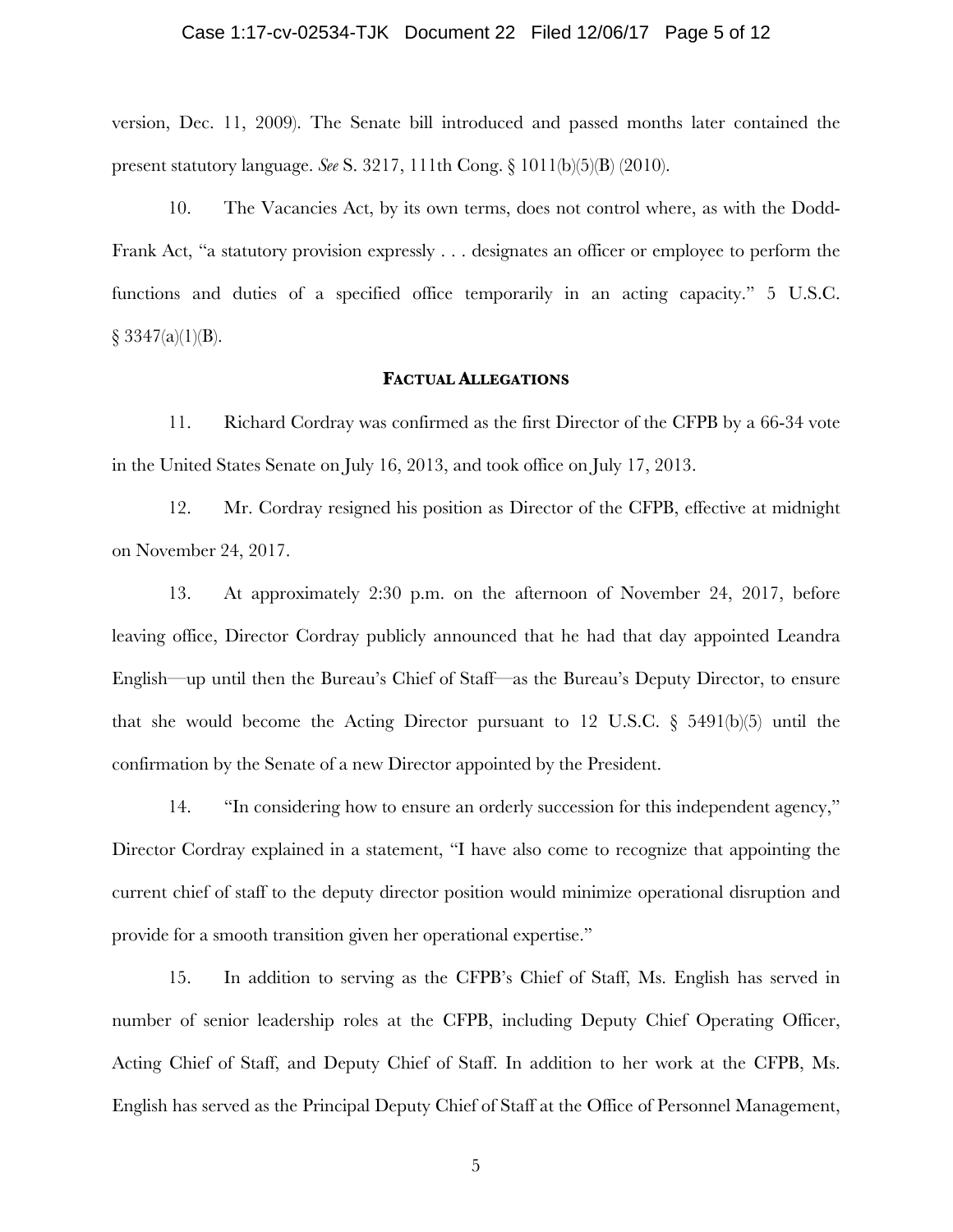### Case 1:17-cv-02534-TJK Document 22 Filed 12/06/17 Page 5 of 12

version, Dec. 11, 2009). The Senate bill introduced and passed months later contained the present statutory language. *See* S. 3217, 111th Cong. § 1011(b)(5)(B) (2010).

10. The Vacancies Act, by its own terms, does not control where, as with the Dodd-Frank Act, "a statutory provision expressly . . . designates an officer or employee to perform the functions and duties of a specified office temporarily in an acting capacity." 5 U.S.C.  $§ 3347(a)(1)(B).$ 

### **FACTUAL ALLEGATIONS**

11. Richard Cordray was confirmed as the first Director of the CFPB by a 66-34 vote in the United States Senate on July 16, 2013, and took office on July 17, 2013.

12. Mr. Cordray resigned his position as Director of the CFPB, effective at midnight on November 24, 2017.

13. At approximately 2:30 p.m. on the afternoon of November 24, 2017, before leaving office, Director Cordray publicly announced that he had that day appointed Leandra English—up until then the Bureau's Chief of Staff—as the Bureau's Deputy Director, to ensure that she would become the Acting Director pursuant to 12 U.S.C.  $\S$  5491(b)(5) until the confirmation by the Senate of a new Director appointed by the President.

14. "In considering how to ensure an orderly succession for this independent agency," Director Cordray explained in a statement, "I have also come to recognize that appointing the current chief of staff to the deputy director position would minimize operational disruption and provide for a smooth transition given her operational expertise."

15. In addition to serving as the CFPB's Chief of Staff, Ms. English has served in number of senior leadership roles at the CFPB, including Deputy Chief Operating Officer, Acting Chief of Staff, and Deputy Chief of Staff. In addition to her work at the CFPB, Ms. English has served as the Principal Deputy Chief of Staff at the Office of Personnel Management,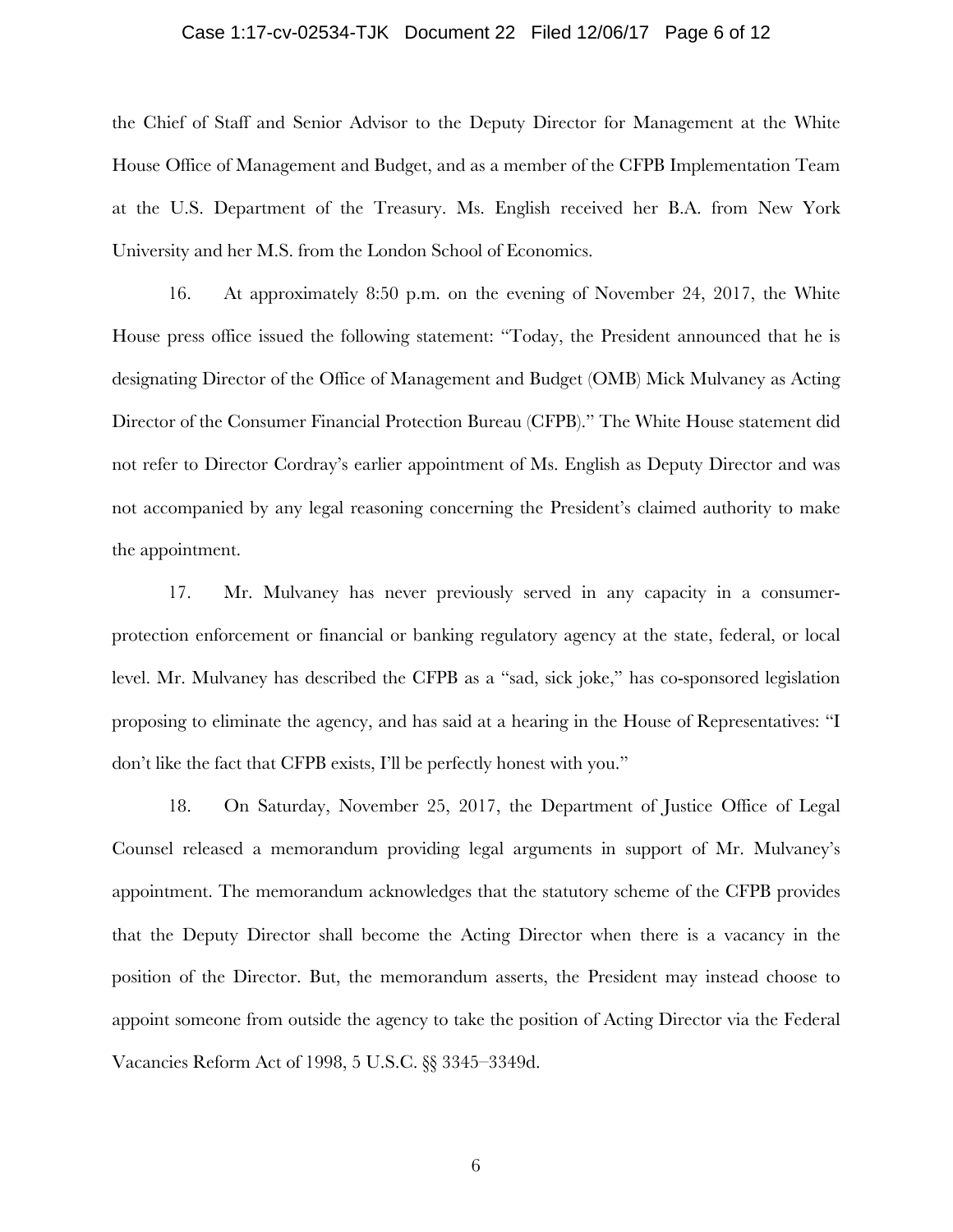### Case 1:17-cv-02534-TJK Document 22 Filed 12/06/17 Page 6 of 12

the Chief of Staff and Senior Advisor to the Deputy Director for Management at the White House Office of Management and Budget, and as a member of the CFPB Implementation Team at the U.S. Department of the Treasury. Ms. English received her B.A. from New York University and her M.S. from the London School of Economics.

16. At approximately 8:50 p.m. on the evening of November 24, 2017, the White House press office issued the following statement: "Today, the President announced that he is designating Director of the Office of Management and Budget (OMB) Mick Mulvaney as Acting Director of the Consumer Financial Protection Bureau (CFPB)." The White House statement did not refer to Director Cordray's earlier appointment of Ms. English as Deputy Director and was not accompanied by any legal reasoning concerning the President's claimed authority to make the appointment.

17. Mr. Mulvaney has never previously served in any capacity in a consumerprotection enforcement or financial or banking regulatory agency at the state, federal, or local level. Mr. Mulvaney has described the CFPB as a "sad, sick joke," has co-sponsored legislation proposing to eliminate the agency, and has said at a hearing in the House of Representatives: "I don't like the fact that CFPB exists, I'll be perfectly honest with you."

18. On Saturday, November 25, 2017, the Department of Justice Office of Legal Counsel released a memorandum providing legal arguments in support of Mr. Mulvaney's appointment. The memorandum acknowledges that the statutory scheme of the CFPB provides that the Deputy Director shall become the Acting Director when there is a vacancy in the position of the Director. But, the memorandum asserts, the President may instead choose to appoint someone from outside the agency to take the position of Acting Director via the Federal Vacancies Reform Act of 1998, 5 U.S.C. §§ 3345–3349d.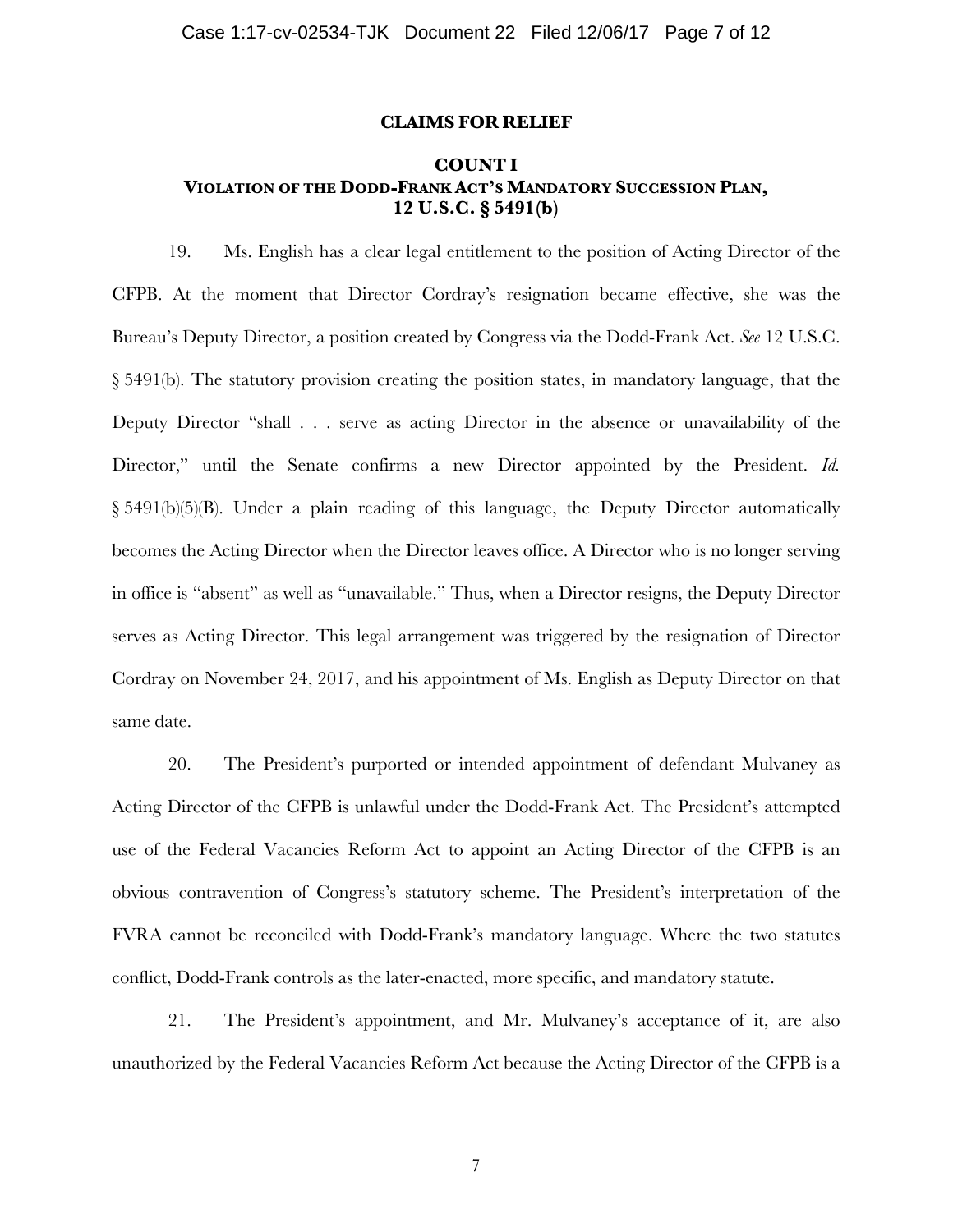#### **CLAIMS FOR RELIEF**

# **COUNT I VIOLATION OF THE DODD-FRANK ACT'S MANDATORY SUCCESSION PLAN, 12 U.S.C. § 5491(b)**

19. Ms. English has a clear legal entitlement to the position of Acting Director of the CFPB. At the moment that Director Cordray's resignation became effective, she was the Bureau's Deputy Director, a position created by Congress via the Dodd-Frank Act. *See* 12 U.S.C. § 5491(b). The statutory provision creating the position states, in mandatory language, that the Deputy Director "shall . . . serve as acting Director in the absence or unavailability of the Director," until the Senate confirms a new Director appointed by the President. *Id.* § 5491(b)(5)(B). Under a plain reading of this language, the Deputy Director automatically becomes the Acting Director when the Director leaves office. A Director who is no longer serving in office is "absent" as well as "unavailable." Thus, when a Director resigns, the Deputy Director serves as Acting Director. This legal arrangement was triggered by the resignation of Director Cordray on November 24, 2017, and his appointment of Ms. English as Deputy Director on that same date.

20. The President's purported or intended appointment of defendant Mulvaney as Acting Director of the CFPB is unlawful under the Dodd-Frank Act. The President's attempted use of the Federal Vacancies Reform Act to appoint an Acting Director of the CFPB is an obvious contravention of Congress's statutory scheme. The President's interpretation of the FVRA cannot be reconciled with Dodd-Frank's mandatory language. Where the two statutes conflict, Dodd-Frank controls as the later-enacted, more specific, and mandatory statute.

21. The President's appointment, and Mr. Mulvaney's acceptance of it, are also unauthorized by the Federal Vacancies Reform Act because the Acting Director of the CFPB is a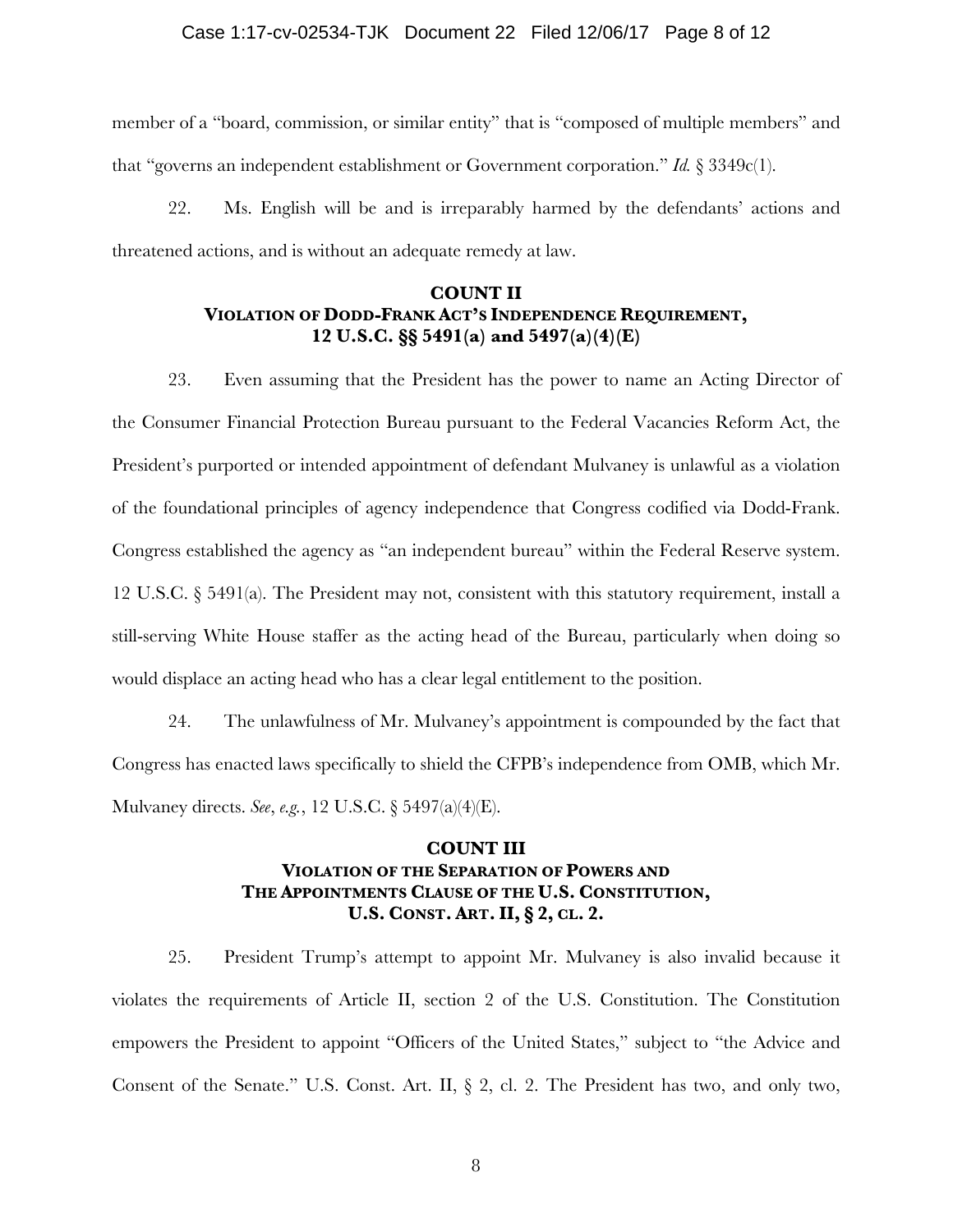### Case 1:17-cv-02534-TJK Document 22 Filed 12/06/17 Page 8 of 12

member of a "board, commission, or similar entity" that is "composed of multiple members" and that "governs an independent establishment or Government corporation." *Id.* § 3349c(1).

22. Ms. English will be and is irreparably harmed by the defendants' actions and threatened actions, and is without an adequate remedy at law.

# **COUNT II VIOLATION OF DODD-FRANK ACT'S INDEPENDENCE REQUIREMENT, 12 U.S.C. §§ 5491(a) and 5497(a)(4)(E)**

23. Even assuming that the President has the power to name an Acting Director of the Consumer Financial Protection Bureau pursuant to the Federal Vacancies Reform Act, the President's purported or intended appointment of defendant Mulvaney is unlawful as a violation of the foundational principles of agency independence that Congress codified via Dodd-Frank. Congress established the agency as "an independent bureau" within the Federal Reserve system. 12 U.S.C. § 5491(a). The President may not, consistent with this statutory requirement, install a still-serving White House staffer as the acting head of the Bureau, particularly when doing so would displace an acting head who has a clear legal entitlement to the position.

24. The unlawfulness of Mr. Mulvaney's appointment is compounded by the fact that Congress has enacted laws specifically to shield the CFPB's independence from OMB, which Mr. Mulvaney directs. *See*, *e.g.*, 12 U.S.C. § 5497(a)(4)(E).

# **COUNT III VIOLATION OF THE SEPARATION OF POWERS AND THE APPOINTMENTS CLAUSE OF THE U.S. CONSTITUTION, U.S. CONST. ART. II, § 2, CL. 2.**

25. President Trump's attempt to appoint Mr. Mulvaney is also invalid because it violates the requirements of Article II, section 2 of the U.S. Constitution. The Constitution empowers the President to appoint "Officers of the United States," subject to "the Advice and Consent of the Senate." U.S. Const. Art. II, § 2, cl. 2. The President has two, and only two,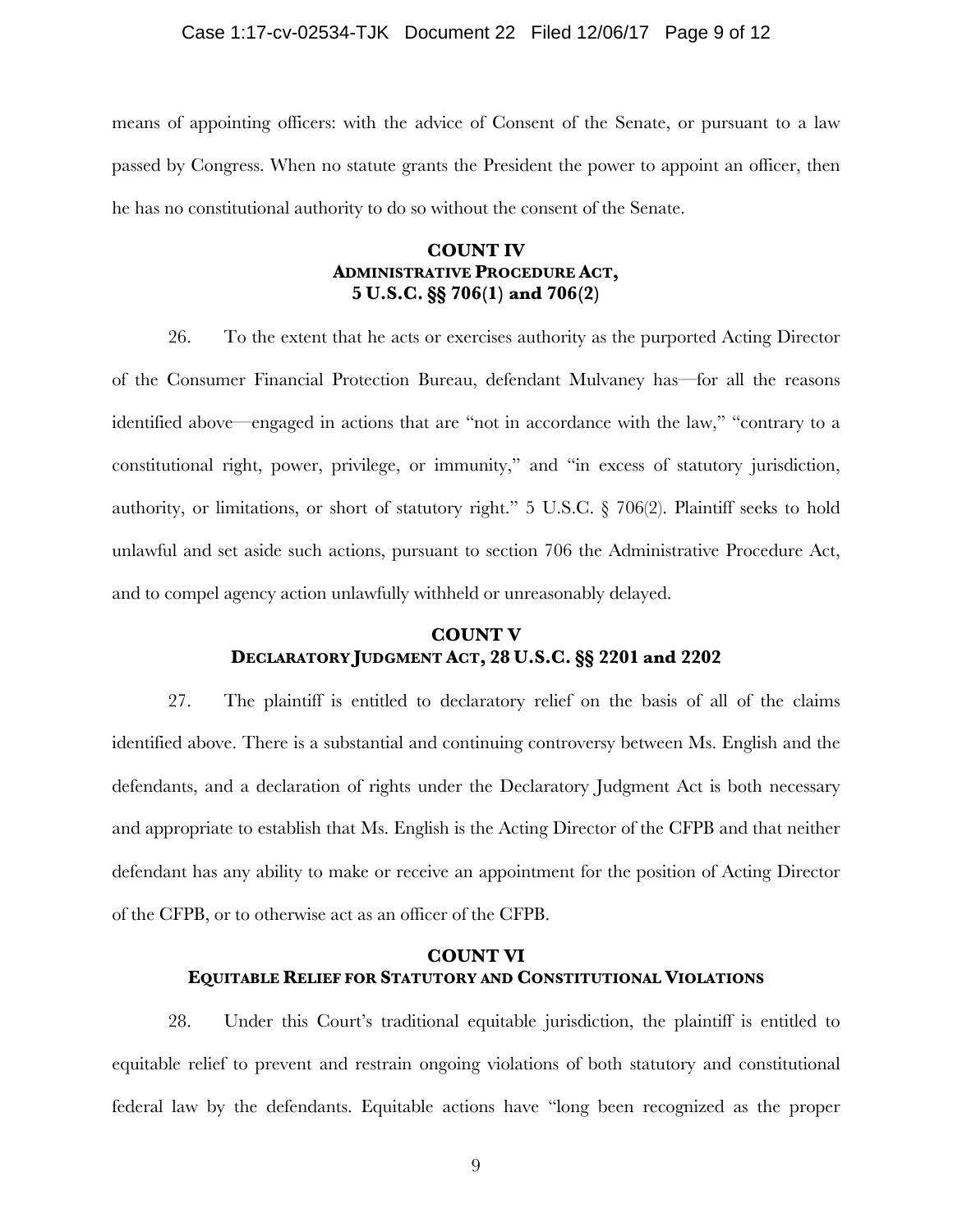### Case 1:17-cv-02534-TJK Document 22 Filed 12/06/17 Page 9 of 12

means of appointing officers: with the advice of Consent of the Senate, or pursuant to a law passed by Congress. When no statute grants the President the power to appoint an officer, then he has no constitutional authority to do so without the consent of the Senate.

# **COUNT IV ADMINISTRATIVE PROCEDURE ACT, 5 U.S.C. §§ 706(1) and 706(2)**

26. To the extent that he acts or exercises authority as the purported Acting Director of the Consumer Financial Protection Bureau, defendant Mulvaney has—for all the reasons identified above—engaged in actions that are "not in accordance with the law," "contrary to a constitutional right, power, privilege, or immunity," and "in excess of statutory jurisdiction, authority, or limitations, or short of statutory right." 5 U.S.C. § 706(2). Plaintiff seeks to hold unlawful and set aside such actions, pursuant to section 706 the Administrative Procedure Act, and to compel agency action unlawfully withheld or unreasonably delayed.

# **COUNT V DECLARATORY JUDGMENT ACT, 28 U.S.C. §§ 2201 and 2202**

27. The plaintiff is entitled to declaratory relief on the basis of all of the claims identified above. There is a substantial and continuing controversy between Ms. English and the defendants, and a declaration of rights under the Declaratory Judgment Act is both necessary and appropriate to establish that Ms. English is the Acting Director of the CFPB and that neither defendant has any ability to make or receive an appointment for the position of Acting Director of the CFPB, or to otherwise act as an officer of the CFPB.

# **COUNT VI EQUITABLE RELIEF FOR STATUTORY AND CONSTITUTIONAL VIOLATIONS**

28. Under this Court's traditional equitable jurisdiction, the plaintiff is entitled to equitable relief to prevent and restrain ongoing violations of both statutory and constitutional federal law by the defendants. Equitable actions have "long been recognized as the proper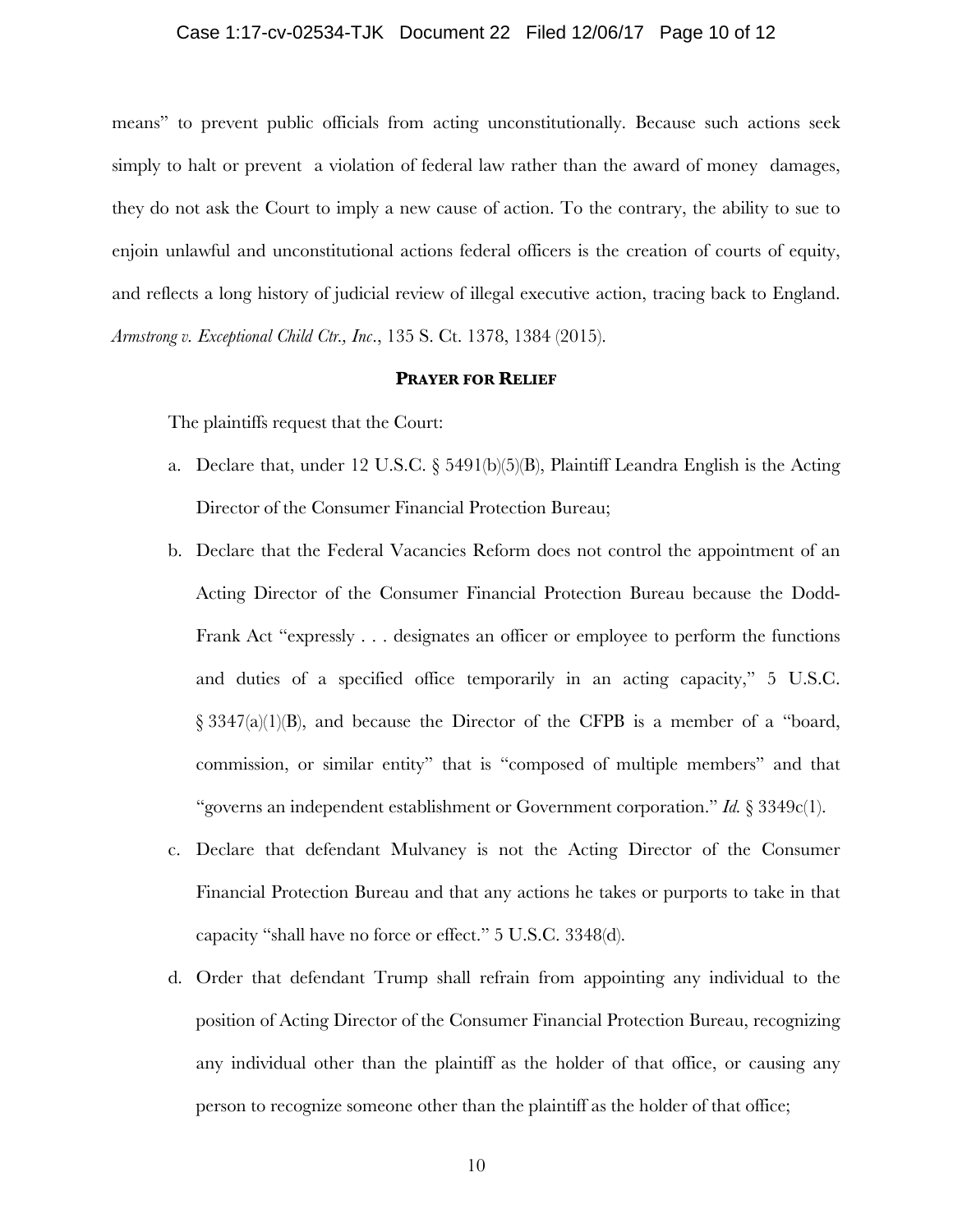#### Case 1:17-cv-02534-TJK Document 22 Filed 12/06/17 Page 10 of 12

means" to prevent public officials from acting unconstitutionally. Because such actions seek simply to halt or prevent a violation of federal law rather than the award of money damages, they do not ask the Court to imply a new cause of action. To the contrary, the ability to sue to enjoin unlawful and unconstitutional actions federal officers is the creation of courts of equity, and reflects a long history of judicial review of illegal executive action, tracing back to England. *Armstrong v. Exceptional Child Ctr., Inc*., 135 S. Ct. 1378, 1384 (2015).

### **PRAYER FOR RELIEF**

The plaintiffs request that the Court:

- a. Declare that, under 12 U.S.C. § 5491(b)(5)(B), Plaintiff Leandra English is the Acting Director of the Consumer Financial Protection Bureau;
- b. Declare that the Federal Vacancies Reform does not control the appointment of an Acting Director of the Consumer Financial Protection Bureau because the Dodd-Frank Act "expressly . . . designates an officer or employee to perform the functions and duties of a specified office temporarily in an acting capacity," 5 U.S.C. § 3347(a)(1)(B), and because the Director of the CFPB is a member of a "board, commission, or similar entity" that is "composed of multiple members" and that "governs an independent establishment or Government corporation." *Id.* § 3349c(1).
- c. Declare that defendant Mulvaney is not the Acting Director of the Consumer Financial Protection Bureau and that any actions he takes or purports to take in that capacity "shall have no force or effect." 5 U.S.C. 3348(d).
- d. Order that defendant Trump shall refrain from appointing any individual to the position of Acting Director of the Consumer Financial Protection Bureau, recognizing any individual other than the plaintiff as the holder of that office, or causing any person to recognize someone other than the plaintiff as the holder of that office;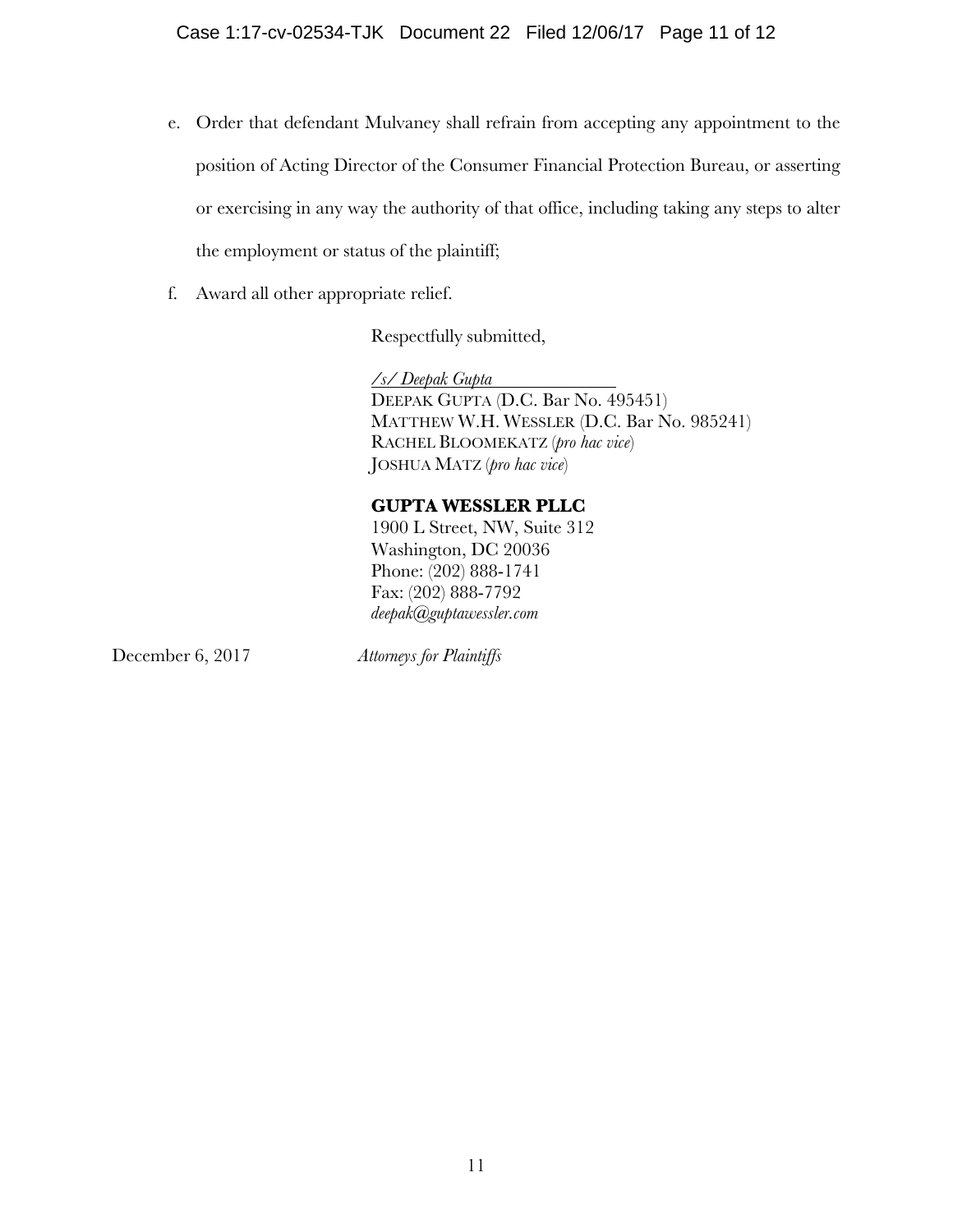- e. Order that defendant Mulvaney shall refrain from accepting any appointment to the position of Acting Director of the Consumer Financial Protection Bureau, or asserting or exercising in any way the authority of that office, including taking any steps to alter the employment or status of the plaintiff;
- f. Award all other appropriate relief.

Respectfully submitted,

*/s/ Deepak Gupta* DEEPAK GUPTA (D.C. Bar No. 495451) MATTHEW W.H. WESSLER (D.C. Bar No. 985241) RACHEL BLOOMEKATZ (*pro hac vice*) JOSHUA MATZ (*pro hac vice*)

# **GUPTA WESSLER PLLC**

1900 L Street, NW, Suite 312 Washington, DC 20036 Phone: (202) 888-1741 Fax: (202) 888-7792 *deepak@guptawessler.com*

December 6, 2017 *Attorneys for Plaintiffs*